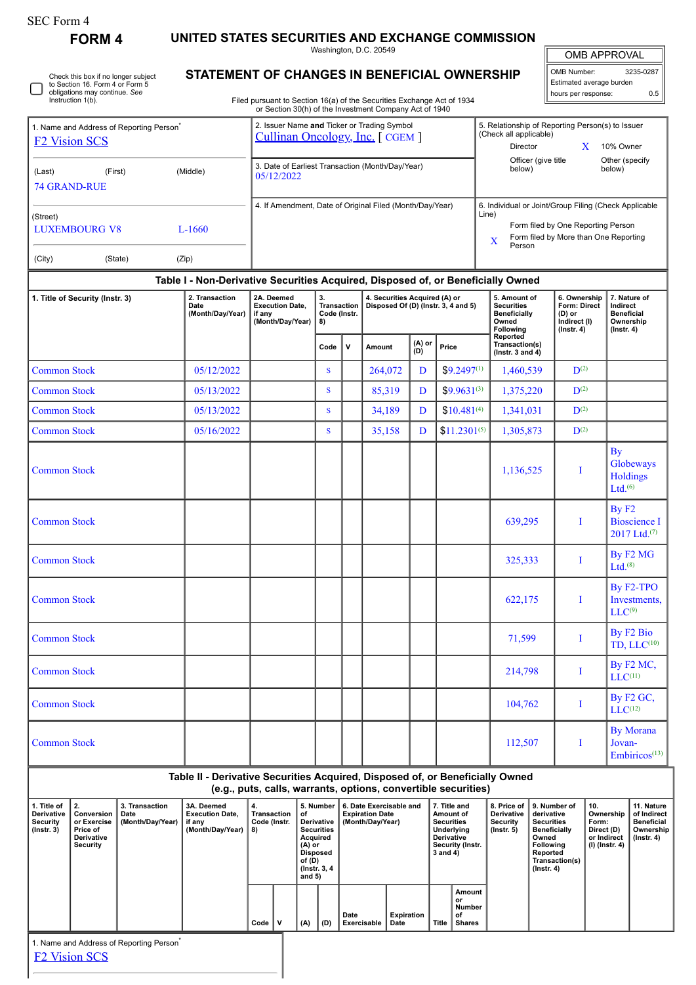| SEC Form 4 |  |
|------------|--|
|------------|--|

П

**FORM 4 UNITED STATES SECURITIES AND EXCHANGE COMMISSION**

|                                                                               |                                                                                                         |                                                                                                                                                                                  |                                                                                                               |      |   | Washington, D.C. 20549                                                                                                                                   |                   |                                                                                                          |                                                                                                                                                                        | <b>OMB APPROVAL</b>                                                        |                                                                                |  |
|-------------------------------------------------------------------------------|---------------------------------------------------------------------------------------------------------|----------------------------------------------------------------------------------------------------------------------------------------------------------------------------------|---------------------------------------------------------------------------------------------------------------|------|---|----------------------------------------------------------------------------------------------------------------------------------------------------------|-------------------|----------------------------------------------------------------------------------------------------------|------------------------------------------------------------------------------------------------------------------------------------------------------------------------|----------------------------------------------------------------------------|--------------------------------------------------------------------------------|--|
| Instruction 1(b).                                                             | Check this box if no longer subject<br>to Section 16. Form 4 or Form 5<br>obligations may continue. See | STATEMENT OF CHANGES IN BENEFICIAL OWNERSHIP<br>Filed pursuant to Section 16(a) of the Securities Exchange Act of 1934<br>or Section 30(h) of the Investment Company Act of 1940 | OMB Number:<br>3235-0287<br>Estimated average burden<br>0.5<br>hours per response:                            |      |   |                                                                                                                                                          |                   |                                                                                                          |                                                                                                                                                                        |                                                                            |                                                                                |  |
| 1. Name and Address of Reporting Person <sup>®</sup><br><b>F2 Vision SCS</b>  |                                                                                                         |                                                                                                                                                                                  | 2. Issuer Name and Ticker or Trading Symbol<br>Cullinan Oncology, Inc. [CGEM]                                 |      |   |                                                                                                                                                          |                   | 5. Relationship of Reporting Person(s) to Issuer<br>(Check all applicable)<br>10% Owner<br>Director<br>X |                                                                                                                                                                        |                                                                            |                                                                                |  |
| (Last)<br><b>74 GRAND-RUE</b>                                                 | (First)                                                                                                 | 3. Date of Earliest Transaction (Month/Day/Year)<br>05/12/2022                                                                                                                   |                                                                                                               |      |   |                                                                                                                                                          |                   | Officer (give title<br>Other (specify<br>below)<br>below)                                                |                                                                                                                                                                        |                                                                            |                                                                                |  |
| (Street)<br><b>LUXEMBOURG V8</b><br>$L-1660$                                  |                                                                                                         |                                                                                                                                                                                  | 4. If Amendment, Date of Original Filed (Month/Day/Year)                                                      |      |   |                                                                                                                                                          |                   |                                                                                                          | 6. Individual or Joint/Group Filing (Check Applicable<br>Line)<br>Form filed by One Reporting Person<br>Form filed by More than One Reporting<br>$\mathbf X$<br>Person |                                                                            |                                                                                |  |
| (City)                                                                        | (State)                                                                                                 | (Zip)                                                                                                                                                                            |                                                                                                               |      |   |                                                                                                                                                          |                   |                                                                                                          |                                                                                                                                                                        |                                                                            |                                                                                |  |
| 2. Transaction<br>1. Title of Security (Instr. 3)<br>Date<br>(Month/Day/Year) |                                                                                                         |                                                                                                                                                                                  | 2A. Deemed<br>3.<br>Transaction<br><b>Execution Date.</b><br>Code (Instr.<br>if any<br>(Month/Day/Year)<br>8) |      |   | Table I - Non-Derivative Securities Acquired, Disposed of, or Beneficially Owned<br>4. Securities Acquired (A) or<br>Disposed Of (D) (Instr. 3, 4 and 5) |                   |                                                                                                          | 5. Amount of<br><b>Securities</b><br><b>Beneficially</b><br>Owned<br><b>Following</b>                                                                                  | 6. Ownership<br>Form: Direct<br>(D) or<br>Indirect (I)<br>$($ Instr. 4 $)$ | 7. Nature of<br>Indirect<br><b>Beneficial</b><br>Ownership<br>$($ Instr. 4 $)$ |  |
|                                                                               |                                                                                                         |                                                                                                                                                                                  |                                                                                                               | Code | v | Amount                                                                                                                                                   | $(A)$ or<br>$(D)$ | Price                                                                                                    | Reported<br>Transaction(s)<br>(lnstr. $3$ and $4$ )                                                                                                                    |                                                                            |                                                                                |  |
| <b>Common Stock</b>                                                           |                                                                                                         | 05/12/2022                                                                                                                                                                       |                                                                                                               | S.   |   | 264,072                                                                                                                                                  | D                 | $$9.2497^{(1)}$                                                                                          | 1,460,539                                                                                                                                                              | $\mathbf{D}^{(2)}$                                                         |                                                                                |  |
| <b>Common Stock</b>                                                           |                                                                                                         | 05/13/2022                                                                                                                                                                       |                                                                                                               | S.   |   | 85,319                                                                                                                                                   | D                 | $$9.9631^{(3)}$                                                                                          | 1,375,220                                                                                                                                                              | $\mathbf{D}^{(2)}$                                                         |                                                                                |  |
| <b>Common Stock</b>                                                           |                                                                                                         | 05/13/2022                                                                                                                                                                       |                                                                                                               | S    |   | 34,189                                                                                                                                                   | D                 | $$10.481^{(4)}$                                                                                          | 1,341,031                                                                                                                                                              | $\mathbf{D}^{(2)}$                                                         |                                                                                |  |
| <b>Common Stock</b>                                                           |                                                                                                         | 05/16/2022                                                                                                                                                                       |                                                                                                               | s    |   | 35,158                                                                                                                                                   | D                 | $$11.2301^{(5)}$                                                                                         | 1,305,873                                                                                                                                                              | $\mathbf{D}^{(2)}$                                                         |                                                                                |  |
|                                                                               |                                                                                                         |                                                                                                                                                                                  |                                                                                                               |      |   |                                                                                                                                                          |                   |                                                                                                          |                                                                                                                                                                        |                                                                            | By<br>Globeways                                                                |  |

| <b>Common Stock</b> | 05/16/2022 | S | 35,158 | D | $$11.2301^{(5)}$ | 1,305,873 | $D^{(2)}$   |                                                                      |
|---------------------|------------|---|--------|---|------------------|-----------|-------------|----------------------------------------------------------------------|
| <b>Common Stock</b> |            |   |        |   |                  | 1,136,525 | I           | <b>By</b><br>Globeways<br><b>Holdings</b><br>Ltd. $(6)$              |
| <b>Common Stock</b> |            |   |        |   |                  | 639,295   | $\mathbf I$ | By F <sub>2</sub><br><b>Bioscience I</b><br>2017 Ltd. <sup>(7)</sup> |
| <b>Common Stock</b> |            |   |        |   |                  | 325,333   | I           | By F <sub>2</sub> M <sub>G</sub><br>$Ltd.$ <sup>(8)</sup>            |
| <b>Common Stock</b> |            |   |        |   |                  | 622,175   | $\bf{I}$    | By F2-TPO<br>Investments,<br>LLC <sup>(9)</sup>                      |
| <b>Common Stock</b> |            |   |        |   |                  | 71,599    | $\bf{I}$    | By F <sub>2</sub> Bio<br>TD, $LLC^{(10)}$                            |
| <b>Common Stock</b> |            |   |        |   |                  | 214,798   | $\bf{I}$    | By F2 MC,<br>$LLC^{(11)}$                                            |
| <b>Common Stock</b> |            |   |        |   |                  | 104,762   | I           | By F <sub>2</sub> GC <sub>2</sub><br>$LLC^{(12)}$                    |
| <b>Common Stock</b> |            |   |        |   |                  | 112,507   | I           | <b>By Morana</b><br>Jovan-<br>Embiricos <sup>(13)</sup>              |

## **Table II - Derivative Securities Acquired, Disposed of, or Beneficially Owned (e.g., puts, calls, warrants, options, convertible securities)**

**1. Title of Derivative Security (Instr. 3) 2. Conversion or Exercise Price of Derivative Security 3. Transaction Date (Month/Day/Year) 3A. Deemed Execution Date, if any (Month/Day/Year) 4. Transaction Code (Instr. 8) 5. Number of Derivative Securities Acquired (A) or Disposed of (D) (Instr. 3, 4 and 5) 6. Date Exercisable and Expiration Date (Month/Day/Year) 7. Title and Amount of Securities Underlying Derivative Security (Instr. 3 and 4) 8. Price of Derivative Security (Instr. 5) 9. Number of derivative Securities Beneficially Owned Following Reported Transaction(s) (Instr. 4) 10. Ownership Form: Direct (D) or Indirect (I) (Instr. 4) 11. Nature of Indirect Beneficial Ownership (Instr. 4)**  $Code \n\begin{bmatrix} \nV & \n\end{bmatrix} (A) \n\begin{bmatrix} D \n\end{bmatrix}$ **Date Exercisable Expiration Date Title Amount or Number of Shares** 1. Name and Address of Reporting Person<sup>\*</sup>

[F2 Vision SCS](http://www.sec.gov/cgi-bin/browse-edgar?action=getcompany&CIK=0001838409)